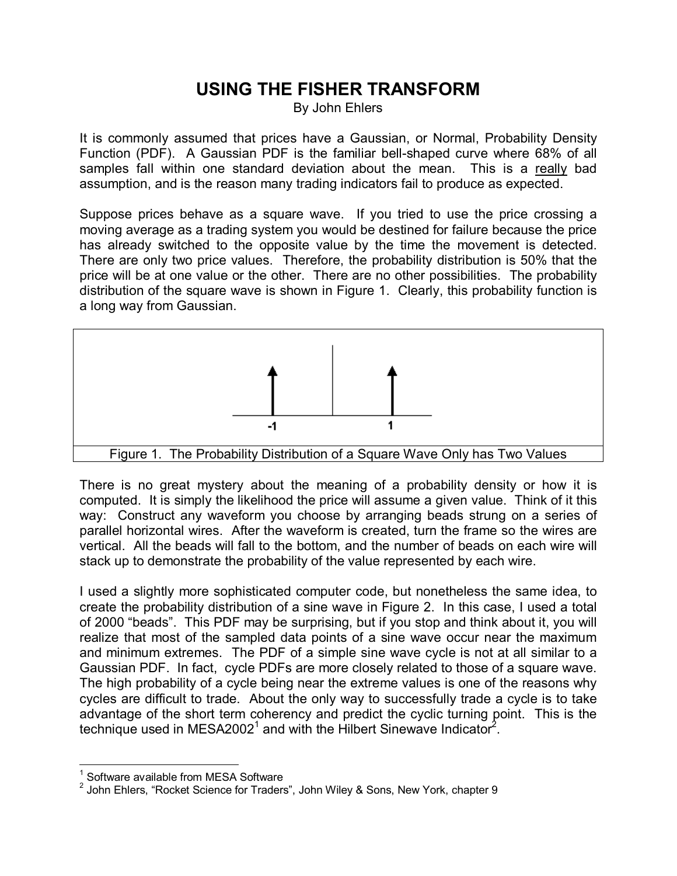## **USING THE FISHER TRANSFORM**

By John Ehlers

It is commonly assumed that prices have a Gaussian, or Normal, Probability Density Function (PDF). A Gaussian PDF is the familiar bell-shaped curve where 68% of all samples fall within one standard deviation about the mean. This is a really bad assumption, and is the reason many trading indicators fail to produce as expected.

Suppose prices behave as a square wave. If you tried to use the price crossing a moving average as a trading system you would be destined for failure because the price has already switched to the opposite value by the time the movement is detected. There are only two price values. Therefore, the probability distribution is 50% that the price will be at one value or the other. There are no other possibilities. The probability distribution of the square wave is shown in Figure 1. Clearly, this probability function is a long way from Gaussian.



There is no great mystery about the meaning of a probability density or how it is computed. It is simply the likelihood the price will assume a given value. Think of it this way: Construct any waveform you choose by arranging beads strung on a series of parallel horizontal wires. After the waveform is created, turn the frame so the wires are vertical. All the beads will fall to the bottom, and the number of beads on each wire will stack up to demonstrate the probability of the value represented by each wire.

I used a slightly more sophisticated computer code, but nonetheless the same idea, to create the probability distribution of a sine wave in Figure 2. In this case, I used a total of 2000 "beads". This PDF may be surprising, but if you stop and think about it, you will realize that most of the sampled data points of a sine wave occur near the maximum and minimum extremes. The PDF of a simple sine wave cycle is not at all similar to a Gaussian PDF. In fact, cycle PDFs are more closely related to those of a square wave. The high probability of a cycle being near the extreme values is one of the reasons why cycles are difficult to trade. About the only way to successfully trade a cycle is to take advantage of the short term coherency and predict the cyclic turning point. This is the technique used in MESA2002<sup>1</sup> and with the Hilbert Sinewave Indicator<sup>2</sup>.

 1 Software available from MESA Software

 $^{2}$  John Ehlers, "Rocket Science for Traders", John Wiley & Sons, New York, chapter 9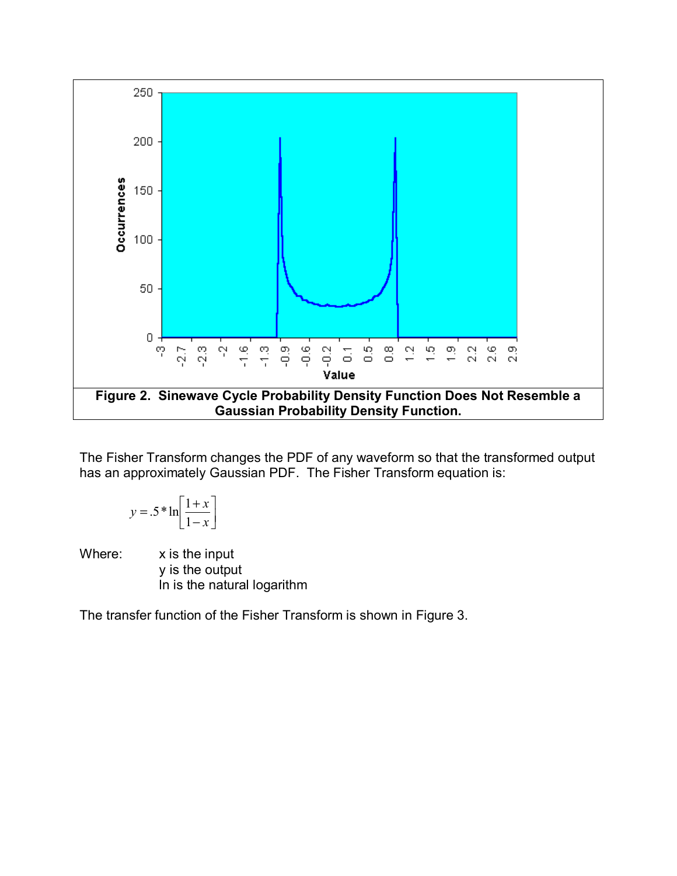

The Fisher Transform changes the PDF of any waveform so that the transformed output has an approximately Gaussian PDF. The Fisher Transform equation is:

$$
y = .5 * \ln\left[\frac{1+x}{1-x}\right]
$$

Where: x is the input y is the output ln is the natural logarithm

The transfer function of the Fisher Transform is shown in Figure 3.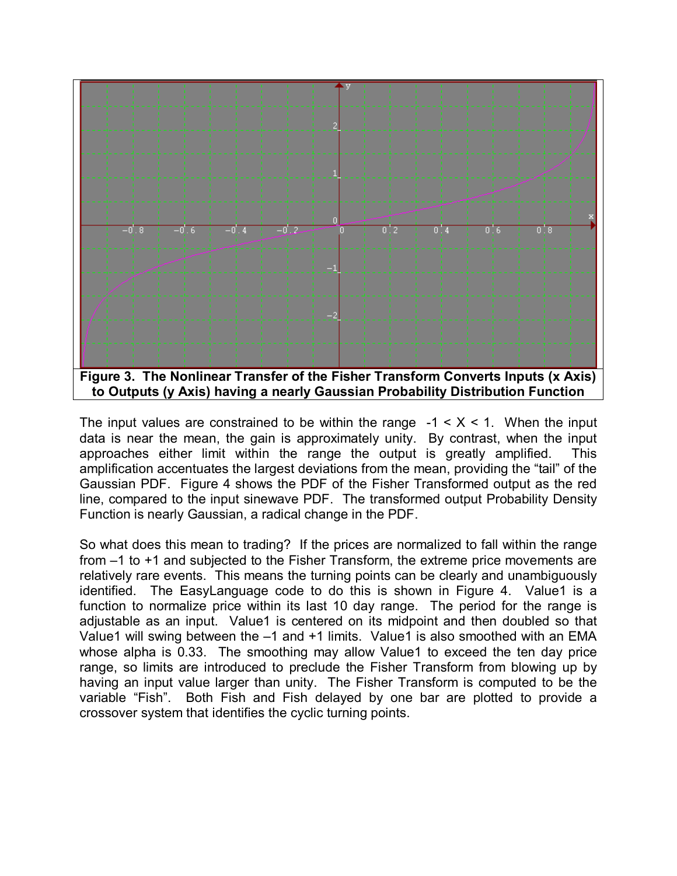

The input values are constrained to be within the range  $-1 < X < 1$ . When the input data is near the mean, the gain is approximately unity. By contrast, when the input approaches either limit within the range the output is greatly amplified. This amplification accentuates the largest deviations from the mean, providing the "tail" of the Gaussian PDF. Figure 4 shows the PDF of the Fisher Transformed output as the red line, compared to the input sinewave PDF. The transformed output Probability Density Function is nearly Gaussian, a radical change in the PDF.

So what does this mean to trading? If the prices are normalized to fall within the range from –1 to +1 and subjected to the Fisher Transform, the extreme price movements are relatively rare events. This means the turning points can be clearly and unambiguously identified. The EasyLanguage code to do this is shown in Figure 4. Value1 is a function to normalize price within its last 10 day range. The period for the range is adjustable as an input. Value1 is centered on its midpoint and then doubled so that Value1 will swing between the -1 and +1 limits. Value1 is also smoothed with an EMA whose alpha is 0.33. The smoothing may allow Value1 to exceed the ten day price range, so limits are introduced to preclude the Fisher Transform from blowing up by having an input value larger than unity. The Fisher Transform is computed to be the variable "Fish". Both Fish and Fish delayed by one bar are plotted to provide a crossover system that identifies the cyclic turning points.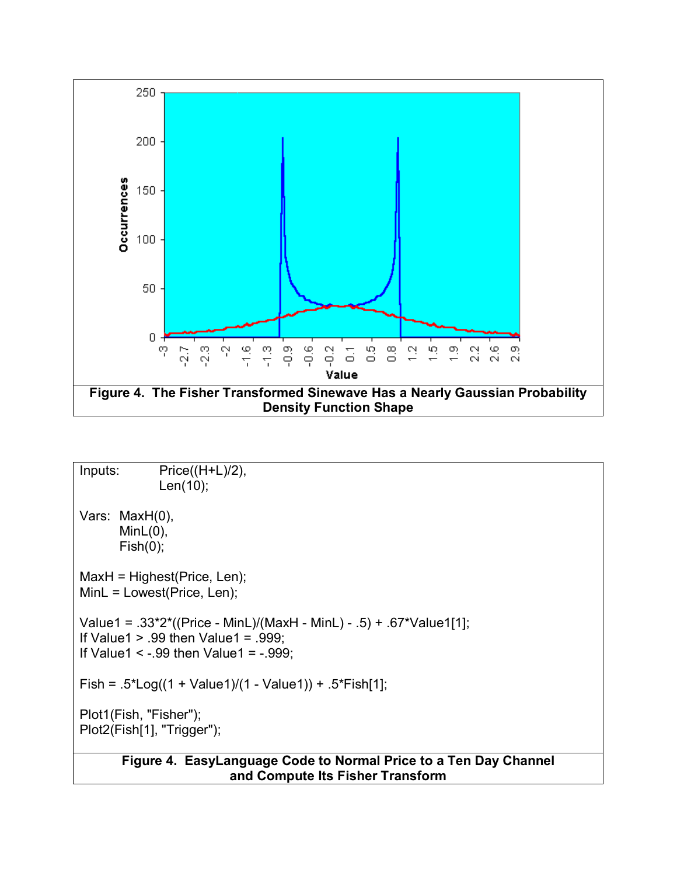

```
Inputs: Price((H+L)/2), 
              Len(10); 
Vars: MaxH(0), 
      MinL(0),
      Fish(0);MaxH = Highest(Price, Len); 
MinL = Lowest(Price, Len); 
Value1 = .33*2*((Price - MinL)/(MaxH - MinL) - .5) + .67*Value1[1]; 
If Value1 > 0.99 then Value1 = 0.999;
If Value1 \leq -.99 then Value1 = -.999;
Fish = .5*Log((1 + Value1)/(1 - Value1)) + .5*Fish[1]; 
Plot1(Fish, "Fisher"); 
Plot2(Fish[1], "Trigger"); 
       Figure 4. EasyLanguage Code to Normal Price to a Ten Day Channel 
                         and Compute Its Fisher Transform
```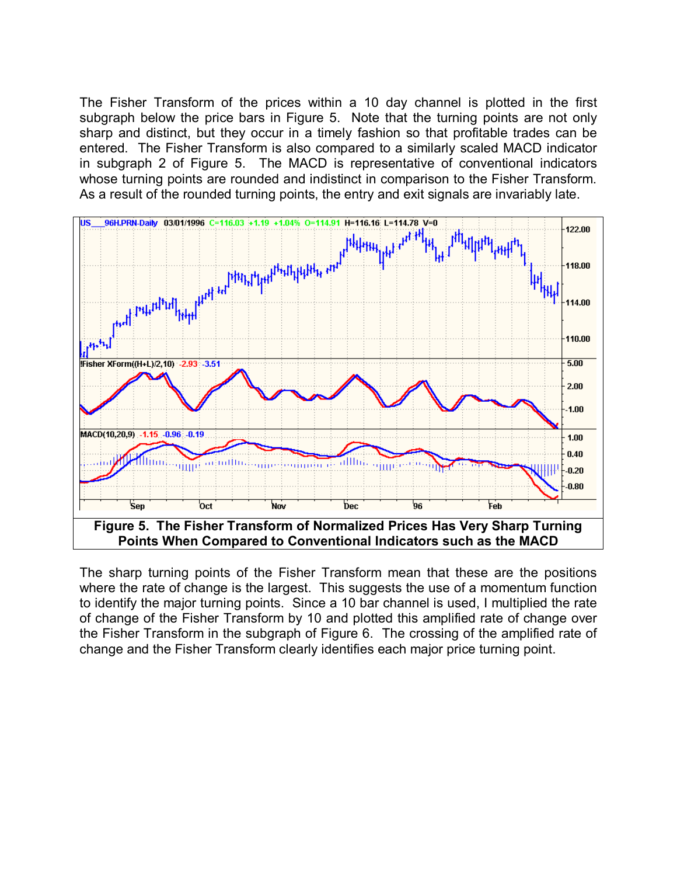The Fisher Transform of the prices within a 10 day channel is plotted in the first subgraph below the price bars in Figure 5. Note that the turning points are not only sharp and distinct, but they occur in a timely fashion so that profitable trades can be entered. The Fisher Transform is also compared to a similarly scaled MACD indicator in subgraph 2 of Figure 5. The MACD is representative of conventional indicators whose turning points are rounded and indistinct in comparison to the Fisher Transform. As a result of the rounded turning points, the entry and exit signals are invariably late.



The sharp turning points of the Fisher Transform mean that these are the positions where the rate of change is the largest. This suggests the use of a momentum function to identify the major turning points. Since a 10 bar channel is used, I multiplied the rate of change of the Fisher Transform by 10 and plotted this amplified rate of change over the Fisher Transform in the subgraph of Figure 6. The crossing of the amplified rate of change and the Fisher Transform clearly identifies each major price turning point.